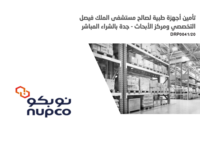# تأمين أجهزة طبية لصالح مستشفى الملك فيصل التخصصي ومركز األبحاث - جدة بالشراء المباشر **DRP0041/20**



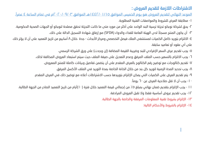## االشتراطات الالزمة لتقديم العروض :

الموعد النهائي لتقديم العروض هو يوم الخميس الموافق 1442/01/15هـ الموافق 2020/09/03م في تمام الساعة 4 ً عصرا.

-1 مطابقة العرض للشروط والمواصفات الفنية المطلوبة.

-2 يحق لشركة نوبكو تجزئة ترسية البند الواحد على أكثر من مورد متى ما كانت التجزئة تحقق مصلحة لنوبكو أو الجهات الصحية الحكومية.

3 ً - أن يكون المنتج مسجال لدى الهيئة العامة للغذاء والدواء )SFDA )مع إرفاق شهادة التسجيل الدالة على ذلك.

-4 االلتزام بتوريد كامل الكميات لمستشفى الملك فيصل التخصصي ومركز األبحاث - جدة خالل 8 أسابيع من تاريخ التعميد على أن ال يؤثر ذلك على أب عقود أو تعاميد سابقة.

0- يجب تقديم عرض السعر الإفرادي للبند وضريبة القيمة المضافة (إن وجدت) على ورق الشركة الرسمي.

-6 يجب االلتزام بالتسعير حسب الملف المرفق وعدم التعديل على صيغة الملف حيث سيتم استبعاد العروض المخالفة لذلك.

-7 تقديم كتالوجات مع توضيح رقم الكتالوج بالعرض المقدم على أن يتضمن تفاصيل وبيانات كاملة للمنتج المعروض.

-8 يجب تحديد المدة الزمنية لتوريد كل بند من خالل الخانة الخاصة بمدة التوريد في الملف األكسل المرفق.

-9 يتم تقديم العرض على الكميات التي يمكن اإللتزام بتوريدها حسب االشتراطات أعاله مع توضيح ذلك في العرض المقدم.

-10 يجب أن ال تقل صالحية العرض عن 60 ً يوما.

11 - يجب اإللتزام بتقديم ضمان نهائي بمبلغ %5 من إجمالي قيمة التعميد خالل فترة )10(أيام من تاريخ التعميد الصادر من الجهة الطالبة. -12 يجب تقديم عروض أساسية فقط وال تقبل العروض المرادفة.

-13 اإللتزام بشروط تقنية المعلومات المرفقة والخاصة بالجهة الطالبة.

-14 اإللتزام بالشروط واألحكام التالية: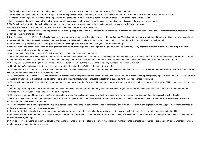1-The Supplier is responsible to provide a minimum of  $\begin{bmatrix} 2 \\ -2 \end{bmatrix}$  years full warranty commencing from the date of technical acceptance

2-The Supplier is responsible to provide Uninterrupted Power Supply (UPS) units with a capacity of (30) minutes backup time for all included Medical Foujoment within this scope of work

3-Response time of (24) hours for the supplier's engineer to arrive to the site during the warranty period from the time they receive officially the service request

4-Failure to respond to any service call within the contracted (24) hours response time shall entitle the supplier to add the delayed response time to the warranty period

5-The Supplier will quarantee the availability of a loaner unit in Jeddah whenever requested by the Hospital during the repair of any defective equipment

6-Voltage: 220V (Type F: Schuko Plug), Frequency: 60Hz, including medical-grade power cable: 16A

7-If applicable original software license to be provided and a back-up copy of the software for software driver equipment In addition any software service dongle(s), or passwords required for maintenance and troubleshooting are to be provided

8-Only for items # (11-15-35-77-80) The Supplier shall provide a factory-level service training for One Clinical Engineer/Technician at the factory or authorized training facility covering all associated expenses including visa fees, travel insurance, course registration, round-trip flight tickets, transportation, meals, and accommodation with no additional cost to the Hospital

9-The Supplier will quarantee to officially notify the Hospital of any equipment updates or model changes occurring immediately

before processing this order. Said notification shall grant the Hospital the option to purchase the upgraded or updated model. However, any safety upgrades (software or hardware) occurring during the warranty period shall be provided to the Hospital

10-One (1) complete operating manual (in English language) to be provided in soft copy, preferably

11-One (1) complete technical/service manual (in English language) including schematics, Preventive Maintenance (PM) procedure/checklist, troubleshooting quide, and recommended spare parts list as well as required Test Equipment. The manual is to be provided in soft copy, preferably, Letter from the manufacturer is required in case no technical/service manual is availble for customer use

12-Factory Quality Control Testing Certificate for each Medical Equipment to be submitted at the time of delivery validated by each serial number

13-Manufacturing/Production date not to exceed (1) one year at the time of delivery (Evidence document to be provided

14-The manufacturer will confirm that the equipment is approved by UL544 of IEC 60601-1 or equivalent for medical and dental equipment and UL 1262 for laboratory equipment or equivalent and will interface with appropriate building codes (i.e. NFPA 99 or equivalent

15-The manufacturer will confirm that the equipment and its accessories are not presently listed under any recall action or alert by an authorized testing or requiating agency, such as ECRI, FDA, BSI, SFDA or equivalent. In addition, the Hospital should be informed officially by the manufacturer throughout life expectancy of the equipment on any announced recall/alert

16-The Supplier must provide installation, set up, calibration, performance verification, Preventive Maintenance (during warranty period) which include all required labor, parts, PM kits, and supporting service reports

17-Failure to perform any Preventive Maintenance as recommended by the manufacturer and mutually accepted by Clinical Engineering Department shall entitle the supplier to 10% deduction from the estimated value of One vear service contract for the said equipment

18-On-Site user operational training session(s) to be conducted by a certified application specialist at the time of installation (or at a mutually agreed upon time) to be provided by the Supplier

19-On-Site technical/service training to be conducted by a certified engineer at the time of installation (or at a mutually agreed upon time) covering all technical areas needed to service and proactively maintain the purchased Medical Equipment

20-The Supplier shall quarantee to provide the Hospital support and the supply of spare parts for the period of at least (10) ten years after the date of end of production. The Supplier must inform the Hospital of the end of the production dates whenever announced

21-If the above technical/service training, manuals, and/or software are not provided by the end of the warranty period; the warranty will automatically be extended until satisfactorily fulfilled

22-In case of any equipment malfunction during the warranty period: the Supplier should repair the affected equipment on site, otherwise any shipping charge(s) for sending the equipment to the manufacturer must be covered by the Supplier

23-Service report(s) including full technical details as well as maintenance protocols related to all corrective and preventive maintenance events to be submitted to the assigned Clinical Engineer as well as another copy to be submitted to the end-user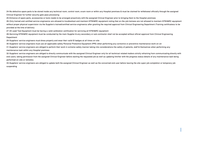24-No defective spare parts to be stored inside any technical room, control room, exam room or within any Hospital premises & must be claimed for withdrawal officially through the assigned Clinical Engineer for further security gate pass processing

25-Entrance of spare parts, accessories or tools needs to be arranged proactively with the assigned Clinical Engineer prior to bringing them to the Hospital premises

26-Only trained and certified service engineer(s) are allowed to troubleshoot and maintain KFSH&RC equipment noting that on-the-iob trainees are not allowed to maintain KFSH&RC equipment without proper physical supervision via the Supplier's trained/certified service engineer(s) after granting the required approval from Clinical Engineering Department (Training certificate(s) to be provided at the time of delivery

27-All used Test Equipment must be having a valid calibration certification for servicing all KFSH&RC equipment

28-Servicing KFSH&RC equipment must be conducted by the main Supplier & any secondary or sub-contractor shall not be accepted without official approval from Clinical Engineering Department

29-Suppliers' service engineers must dress properly and wear their valid ID badges at all times on-site

30-Suppliers' service engineers must use all applicable safety Personal Protective Equipment (PPE) when performing any corrective or preventive maintenance work on-sit

31-Suppliers' service engineers are obliged to perform their work in extreme safety manner taking into considerations the safety of patients, staff & themselves when performing any maintenance task within any Hospital premises

32-Suppliers' service engineers are obliged to directly communicate with the assigned Clinical Engineer only for all technical-related matters strictly refraining from communicating directly with end-users, taking permission from the assigned Clinical Engineer before starting the requested iob as well as updating him/her with the progress status details of any maintenance task being performed on-site or remotely

33-Suppliers' service engineers are obliged to update both the assigned Clinical Engineer as well as the concerned end-user before leaving the site (upon job completion or temporary job suspending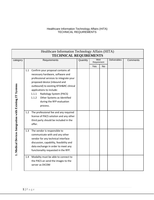| Healthcare Information Technology Affairs (HITA)<br><b>TECHNICAL REQUIREMENTS</b> |              |                                                                                                                                                                                                                                                                                                                                                                                                                                                                                    |          |                     |           |                     |          |
|-----------------------------------------------------------------------------------|--------------|------------------------------------------------------------------------------------------------------------------------------------------------------------------------------------------------------------------------------------------------------------------------------------------------------------------------------------------------------------------------------------------------------------------------------------------------------------------------------------|----------|---------------------|-----------|---------------------|----------|
| category                                                                          | Requirements |                                                                                                                                                                                                                                                                                                                                                                                                                                                                                    | Quantity | Meet<br>Requirement |           | <b>Deliverables</b> | Comments |
|                                                                                   |              |                                                                                                                                                                                                                                                                                                                                                                                                                                                                                    |          | Yes                 | <b>No</b> |                     |          |
| 1. Medical Devices Integration with Existing IT Systems                           | 1.1<br>1.2   | Confirm your proposal contains all<br>necessary hardware, software and<br>professional services to integrate your<br>proposed device (inbound and<br>outbound) to existing KFSH&RC clinical<br>applications to include:<br>1.1.1<br>Radiology System (PACS)<br>1.1.2<br>Other Systems as Identified<br>during the RFP evaluation<br>process.<br>The professional fee and any required<br>license of PACS solution and any other<br>third party should be included in the<br>offer. |          |                     |           |                     |          |
|                                                                                   | 1.3<br>1.4   | The vendor is responsible to<br>communicate with and any other<br>vendor for any technical interface<br>discussion, capability, feasibility and<br>data exchange in order to meet any<br>functionality requested in the RFP.<br>Modality must be able to connect to<br>the PACS an send the images to the                                                                                                                                                                          |          |                     |           |                     |          |
|                                                                                   |              | server as DICOM                                                                                                                                                                                                                                                                                                                                                                                                                                                                    |          |                     |           |                     |          |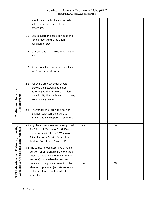|                                                     | Should have the MPPS feature to be<br>1.5<br>able to send live status of the<br>procedure.                                                                                                                                                                                                                     |           |  |     |  |
|-----------------------------------------------------|----------------------------------------------------------------------------------------------------------------------------------------------------------------------------------------------------------------------------------------------------------------------------------------------------------------|-----------|--|-----|--|
|                                                     | Can calculate the Radiation dose and<br>1.6<br>send a report to the radiation<br>designated server.                                                                                                                                                                                                            |           |  |     |  |
|                                                     | USB port and CD Drive is important for<br>1.7<br>any                                                                                                                                                                                                                                                           |           |  |     |  |
|                                                     | If the modality is portable, must have<br>1.8<br>Wi-Fi and network ports.                                                                                                                                                                                                                                      |           |  |     |  |
| 2. Minimum Network<br>Requirements                  | For every project vendor should<br>2.1<br>provide the network equipment<br>according to the KFSH&RC standard<br>(switch SFP, fiber cable etc. ) and any<br>extra cabling needed.                                                                                                                               |           |  |     |  |
|                                                     | The vendor shall provide a network<br>2.2<br>engineer with sufficient skills to<br>implement and support the solution.                                                                                                                                                                                         |           |  |     |  |
| <b>Operations Requirement</b>                       | 3.1 Any client software must be supported<br>for Microsoft Windows 7 with IE8 and<br>up to the latest Microsoft Windows<br>Client Platform , Service Pack & Internet<br>Explorer (Windows 8.1 with IE11)                                                                                                       | <b>NA</b> |  | Yes |  |
| 3. IT Infrastructure Technical, Secur<br>Capacity & | 3.2 The software tool must have a mobile<br>version for different smart phones (e.g.<br>latest iOS, Android & Windows Phone<br>versions) that enable the users to<br>connect to the project server in order to<br>view and update projects status as well<br>as the most important details of the<br>projects. | <b>NA</b> |  | Yes |  |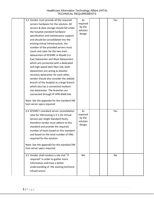| 3.3 Vendor must provide all the required                                 | As        |  | Yes |  |
|--------------------------------------------------------------------------|-----------|--|-----|--|
| servers hardware for the solution. All                                   | required  |  |     |  |
| servers & data storage should fall under                                 | by the    |  |     |  |
| the hospital standard hardware                                           | solution  |  |     |  |
| specification and maintenance support                                    | design    |  |     |  |
| and should be consolidated into the                                      |           |  |     |  |
| existing virtual infrastructure, the                                     |           |  |     |  |
| number of the provided servers must                                      |           |  |     |  |
| count and cater for the two main                                         |           |  |     |  |
| datacenters of KFSHRC in Riyadh (i.e.                                    |           |  |     |  |
| East Datacenter and West Datacenter)                                     |           |  |     |  |
| which are connected with a dedicated                                     |           |  |     |  |
| and high-speed dark fiber link, both                                     |           |  |     |  |
| datacenters are acting as disaster                                       |           |  |     |  |
| recovery datacenter for each other,                                      |           |  |     |  |
| vendor should also consider the Jeddah                                   |           |  |     |  |
| branch of the hospital as a large branch                                 |           |  |     |  |
| which also has a connected medium-                                       |           |  |     |  |
| size datacenter. The branches are                                        |           |  |     |  |
| connected through IP-VPN WAN link.                                       |           |  |     |  |
| Note: See the appendix for the standard VM<br>host server specs required |           |  |     |  |
| 3.4 KFSHRC's standard server consolidation                               | As        |  | Yes |  |
| ratio for VM hosting is 5:1 (5x Virtual                                  | required  |  |     |  |
| Servers per Single Standard Host),                                       | by the    |  |     |  |
| therefore vendor must adhere to this                                     | solution  |  |     |  |
| standard and provide the required                                        | design    |  |     |  |
| number of hosts based on this standard                                   |           |  |     |  |
| and based on the total number of VMs                                     |           |  |     |  |
| required for the solution                                                |           |  |     |  |
|                                                                          |           |  |     |  |
| Note: See the appendix for the standard VM                               |           |  |     |  |
| host server specs required                                               |           |  |     |  |
| 3.5 Vendor shall conduct a site visit "if                                | <b>NA</b> |  | No  |  |
| required" in order to gather more                                        |           |  |     |  |
| information and have a better                                            |           |  |     |  |
| understanding of the existing technical                                  |           |  |     |  |
| infrastructure                                                           |           |  |     |  |
|                                                                          |           |  |     |  |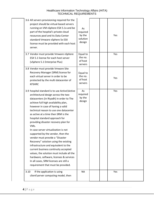| 3.6 All servers provisioning required for the<br>project should be virtual-based servers<br>running on VM vSphere ESX 5.1x and be<br>part of the hospital's private cloud<br>resources pool and its Data Center<br>standard Vmware vSphere 5x ESX<br>license must be provided with each host<br>server.                                                                                                                                                                                                                                                                                                                                                                                                                                                                                          | As<br>required<br>by the<br>solution<br>design |  | Yes |  |
|--------------------------------------------------------------------------------------------------------------------------------------------------------------------------------------------------------------------------------------------------------------------------------------------------------------------------------------------------------------------------------------------------------------------------------------------------------------------------------------------------------------------------------------------------------------------------------------------------------------------------------------------------------------------------------------------------------------------------------------------------------------------------------------------------|------------------------------------------------|--|-----|--|
| 3.7 Vendor must provide Vmware vSphere<br>ESX 5.1 license for each host server<br>(vSphere 5.1 Enterprise Plus)                                                                                                                                                                                                                                                                                                                                                                                                                                                                                                                                                                                                                                                                                  | Equal to<br>the no.<br>of host<br>servers      |  | Yes |  |
| 3.8 Vendor must provide Vmware Site<br>Recovery Manager (SRM) license for<br>each virtual server in order to be<br>protected by the multi datacenter of<br><b>KFSHRC</b>                                                                                                                                                                                                                                                                                                                                                                                                                                                                                                                                                                                                                         | Equal to<br>the no.<br>of host<br>servers      |  | Yes |  |
| 3.9 hospital standard is to use Active\Active<br>architectural design across the two<br>datacenters (in Riyadh) in order to The<br>achieve full high availability plan,<br>however in case of having a valid<br>technical reason to use one datacenter<br>as active at a time then SRM is the<br>hospital standard approach for<br>providing disaster recovery plan for<br>VMs.<br>In case server virtualization is not<br>supported by the vendor, then the<br>vendor must provide a "Disaster<br>Recovery" solution using the existing<br>infrastructure and equivalent to the<br>current business continuity accepted<br>values, the solution must include all the<br>hardware, software, licenses & services<br>In all cases, SRM licenses are still a<br>requirement that must be provided. | As<br>required<br>by the<br>design             |  | Yes |  |
| If the application is using<br>3.10<br>client\server computing model, then                                                                                                                                                                                                                                                                                                                                                                                                                                                                                                                                                                                                                                                                                                                       | <b>NA</b>                                      |  | Yes |  |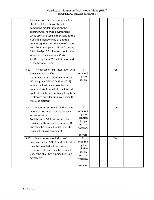| the client software must run on a thin<br>client model (i.e. Server based<br>computing model running on the<br>existing Citrix XenApp environment<br>while users are using either XenDesktop<br>VDI's thin client or regular desktop<br>computer), this is for the ease of access<br>and client deployment. KFSHRC is using<br>Citrix XenApp 6.5 infrastructure for the<br>whole hospital users, and Citrix<br>XenDesktop 7 as a VDI solution for part<br>of the hospital users. |                                                                                         |  |     |  |
|----------------------------------------------------------------------------------------------------------------------------------------------------------------------------------------------------------------------------------------------------------------------------------------------------------------------------------------------------------------------------------------------------------------------------------------------------------------------------------|-----------------------------------------------------------------------------------------|--|-----|--|
| "If Applicable", Full Integration with<br>3.11<br>the hospital's "Unified<br>Communications" solution (Microsoft<br>UC using Lync 2013 & Outlook 2013)<br>where the healthcare providers can<br>communicate from within the internal<br>application interface with any hospital's<br>healthcare provider employee using the<br>MS. Lync platform                                                                                                                                 | As<br>required<br>by the<br>design                                                      |  | Yes |  |
| Vendor must provide all the servers<br>3.12<br>Operating Systems Licenses for each<br>server instance.<br>For Microsoft OS, licenses must be<br>provided with software assurance (SA)<br>and must be enrolled under KFSHRC's<br>running licensing agreement                                                                                                                                                                                                                      | As<br>required<br>by the<br>solution<br>design<br>and the<br>total no.<br>of<br>servers |  | Yes |  |
| Any other required Microsoft<br>3.13<br>licenses (such as SQL, SharePoint  etc.)<br>must be provided with software<br>assurance (SA) and must be enrolled<br>under the KFSHRC's running licensing<br>agreement                                                                                                                                                                                                                                                                   | As<br>required<br>by the<br>solution<br>design<br>and the<br>total no.<br>of<br>servers |  | Yes |  |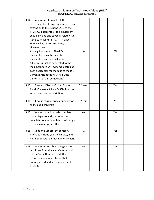| <b>NA</b> | Yes |  |
|-----------|-----|--|
| 3 Years   | Yes |  |
| 3 Years   | Yes |  |
| <b>NA</b> | Yes |  |
| <b>NA</b> | Yes |  |
| <b>NA</b> | Yes |  |
|           |     |  |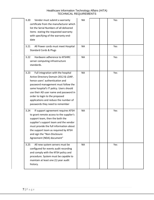| Vendor must submit a warranty<br>3.20<br>certificate from the manufacturer which<br>list the Serial Numbers of all delivered<br>items stating the requested warranty<br>with specifying of the warranty end-<br>date                                                                                                                                            | <b>NA</b> |  | Yes |  |
|-----------------------------------------------------------------------------------------------------------------------------------------------------------------------------------------------------------------------------------------------------------------------------------------------------------------------------------------------------------------|-----------|--|-----|--|
| 3.21<br>All Power cords must meet Hospital<br><b>Standard Cords &amp; Plugs</b>                                                                                                                                                                                                                                                                                 | <b>NA</b> |  | Yes |  |
| Hardware adherence to KFSHRC<br>3.22<br>server computing infrastructure<br>standards.                                                                                                                                                                                                                                                                           | <b>NA</b> |  | Yes |  |
| Full integration with the hospital<br>3.23<br>Active Directory Domain 2012 & LDAP,<br>hence users' authentication and<br>password management must follow the<br>same hospital's IT policy. Users should<br>use their AD user name and password in<br>order to login to the proposed<br>applications and reduce the number of<br>passwords they need to remember | <b>NA</b> |  | Yes |  |
| If support agreement requires KFSH<br>3.24<br>to grant remote access to the supplier's<br>support team, then the both the<br>supplier's support team and the vendor<br>must provide the full information about<br>the support team as required by KFSH<br>and sign the "Non-Disclosure<br>Agreement (NDA) document"                                             | <b>NA</b> |  | Yes |  |
| 3.25<br>All new system servers must be<br>configured for events audit recording<br>and comply with the KFSH policy and<br>procedure. System must be capable to<br>maintain at least one (1) year audit<br>history.                                                                                                                                              | <b>NA</b> |  | Yes |  |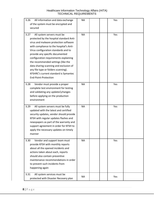| 3.26<br>All information and data exchange<br>of the system must be encrypted and<br>secured                                                                                                                                                                                                                                                                                                                                                                                    | <b>NA</b> | Yes |  |
|--------------------------------------------------------------------------------------------------------------------------------------------------------------------------------------------------------------------------------------------------------------------------------------------------------------------------------------------------------------------------------------------------------------------------------------------------------------------------------|-----------|-----|--|
| 3.27<br>All system servers must be<br>protected by the hospital standard Anti-<br>virus and malware protection software<br>with compliance to the hospital's Anti-<br>Virus configuration standards and to<br>provide any specific documented<br>configuration requirements explaining<br>the recommended settings (like the<br>data sharing scanning and exclusion of<br>any file type or folders scanning).<br>KFSHRC's current standard is Symantec<br>End-Point-Protection | <b>NA</b> | Yes |  |
| 3.28<br>Vendor must provide a proper<br>complete test environment for testing<br>and validating any updates\changes<br>before applying on the production<br>environment                                                                                                                                                                                                                                                                                                        | <b>NA</b> | Yes |  |
| All system servers must be fully<br>3.29<br>updated with the latest and certified<br>security updates, vendor should provide<br>KFSH with regular updates flashes and<br>newspapers as part of the warranty and<br>support agreement in order for KFSH to<br>apply the necessary updates on timely<br>manner                                                                                                                                                                   | <b>NA</b> | Yes |  |
| 3.30<br>Vendor and support team must<br>provide KFSH with monthly reports<br>about all the opened incidents and<br>actions taken about each, reports<br>should also contain preventive<br>maintenance recommendations in order<br>to prevent such incidents from<br>happening again                                                                                                                                                                                            | <b>NA</b> | Yes |  |
| 3.31<br>All system services must be<br>protected with Disaster Recovery plan                                                                                                                                                                                                                                                                                                                                                                                                   | NA        | Yes |  |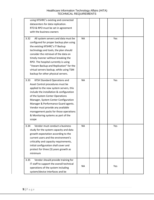| using KFSHRC's existing and connected<br>datacenters for data replication.<br>RTO & RPO must be set in agreement<br>with the business owners                                                                                                                                                                                                                                                                           |           |     |  |
|------------------------------------------------------------------------------------------------------------------------------------------------------------------------------------------------------------------------------------------------------------------------------------------------------------------------------------------------------------------------------------------------------------------------|-----------|-----|--|
| All system servers and data must be<br>3.32<br>configured for proper backup plan using<br>the existing KFSHRC's IT Backup<br>technology and tools, the plan should<br>consider the retrieval of the data on<br>timely manner without breaking the<br>RPO. The hospital currently is using<br>"Veeam Backup and Replication" for the<br>virtual servers backup, while using TSM<br>backup for other physical servers.   | <b>NA</b> | Yes |  |
| <b>KFSH Standard Operations and</b><br>3.33<br>Asset Control procedures must be<br>applied to the new system servers, this<br>include the installation & configuration<br>of the System Center Operations<br>Manager, System Center Configuration<br>Manager & Performance Guard agents.<br>Vendor must provide any available<br>management packs for those operations<br>& Monitoring systems as part of the<br>scope | <b>NA</b> | Yes |  |
| Vendor must conduct a business<br>3.34<br>study for the system capacity and data<br>growth expectation according to the<br>current users and the environment's<br>criticality and capacity requirements,<br>initial configuration shall cover and<br>protect for three (3) years growth as<br>minimum                                                                                                                  | <b>NA</b> | Yes |  |
| Vendor should provide training for<br>3.35<br>IT staff to support the overall technical<br>operations of the system including<br>system/device interfaces and be                                                                                                                                                                                                                                                       | <b>NA</b> | Yes |  |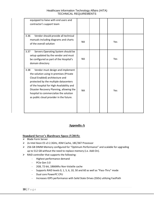| equipped to liaise with end users and       |           |     |  |
|---------------------------------------------|-----------|-----|--|
| contractor's support team                   |           |     |  |
|                                             |           |     |  |
|                                             |           |     |  |
| Vendor should provide all technical<br>3.36 |           |     |  |
| manuals including diagrams and charts       | <b>NA</b> | Yes |  |
| of the overall solution                     |           |     |  |
|                                             |           |     |  |
| 3.37<br>Servers Operating System should be  |           |     |  |
| setup updated by the vendor and must        | <b>NA</b> | Yes |  |
| be configured as part of the Hospital's     |           |     |  |
| domain directory                            |           |     |  |
| 3.38<br>Vendor must design and implement    |           |     |  |
| the solution using in-premises (Private     |           |     |  |
| Cloud Enabled) architecture and             |           |     |  |
| protected by the multiple datacenters       |           |     |  |
| of the hospital for High-Availability and   |           |     |  |
| Disaster Recovery Planning, allowing the    | <b>NA</b> | Yes |  |
| hospital to commercialize the solution      |           |     |  |
| as public cloud provider in the future.     |           |     |  |
|                                             |           |     |  |
|                                             |           |     |  |
|                                             |           |     |  |
|                                             |           |     |  |

#### **Appendix-A**

### **Standard Server's Hardware Specs (Y2015):**

- $\triangleright$  Blade Form Server
- > 2x Intel Xeon E5 v3 2.3GHz, 45M Cache, 18C/36T Processor
- $\geq$  256 GB DIMM Memory configured for "Optimum Performance" and scalable for upgrading up to 512 GB without the need to replace memory (i.e. Add-On).
- $\triangleright$  RAID controller that supports the following:
	- Highest performance demand
	- PCIe Gen 3.0
	- 2GB, 72-bit, 1866 Mhz Non-Volatile cache
	- Supports RAID levels 0, 1, 5, 6, 10, 50 and 60 as well as "Pass-Thru" mode
	- Dual core PowerPC CPU
	- Increases IOPS performance with Solid State Drives (SSDs) utilizing FastPath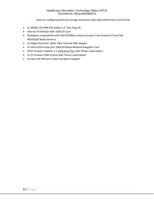- Ideal for configuring external storage enclosures with high-performance hard drives
- $\geq$  2x 300GB 15k RPM SAS 6Gpbs 2.5" Hot-Plug HD
- $\triangleright$  Internal SD Module with 16GB SD Card
- $\triangleright$  Backlpane compatibility with Dell M1000e enclosure (used in the hospital to host Dell M610\620 Blade Servers)
- $\geq$  2x Qlogic Dual-Port 16GB, Fiber Channel HBA adapter
- $\triangleright$  2x Intel x520-k Dual port 10Gb KR Blade Network Daughter Card
- $\geq$  2CPU Vmware vSphere 5.1 Enterprise Plus with 3Years subscription
- $\triangleright$  1x 25 Vmware SRM License with 3Years subscription
- $\triangleright$  3x Years 4hr Mission Critical Hardware Support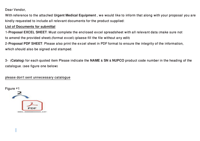Dear Vendor.

With reference to the attached Urgent Medical Equipment, we would like to inform that along with your proposal you are kindly requested to include all relevant documents for the product supplied:

#### **List of Documents for submittal**

1-Proposal EXCEL SHEET: Must complete the enclosed excel spreadsheet with all relevant data (make sure not to amend the provided sheet). (format excel spheets fill the file without any edit)

2-**Proposal PDF SHEET**: Please also print the excel sheet in PDF format to ensure the integrity of the information. which should also be signed and stamped.

13- (Catalog) for each quoted item Please indicate the NAME & SN & NUPCO product code number in the heading of the catalogue. (see figure one below)

please don't sent unnecessary catalogue